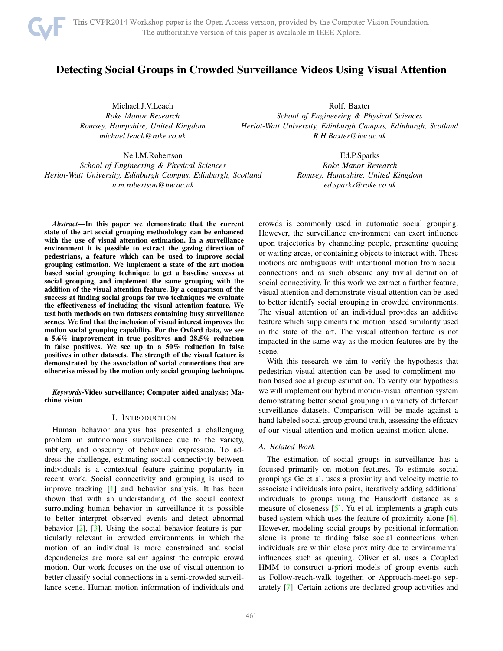<span id="page-0-0"></span>

# Detecting Social Groups in Crowded Surveillance Videos Using Visual Attention

Michael.J.V.Leach *Roke Manor Research Romsey, Hampshire, United Kingdom michael.leach@roke.co.uk*

Rolf. Baxter *School of Engineering & Physical Sciences Heriot-Watt University, Edinburgh Campus, Edinburgh, Scotland R.H.Baxter@hw.ac.uk*

Neil.M.Robertson *School of Engineering & Physical Sciences Heriot-Watt University, Edinburgh Campus, Edinburgh, Scotland n.m.robertson@hw.ac.uk*

Ed.P.Sparks *Roke Manor Research Romsey, Hampshire, United Kingdom ed.sparks@roke.co.uk*

*Abstract*—In this paper we demonstrate that the current state of the art social grouping methodology can be enhanced with the use of visual attention estimation. In a surveillance environment it is possible to extract the gazing direction of pedestrians, a feature which can be used to improve social grouping estimation. We implement a state of the art motion based social grouping technique to get a baseline success at social grouping, and implement the same grouping with the addition of the visual attention feature. By a comparison of the success at finding social groups for two techniques we evaluate the effectiveness of including the visual attention feature. We test both methods on two datasets containing busy surveillance scenes. We find that the inclusion of visual interest improves the motion social grouping capability. For the Oxford data, we see a 5.6% improvement in true positives and 28.5% reduction in false positives. We see up to a 50% reduction in false positives in other datasets. The strength of the visual feature is demonstrated by the association of social connections that are otherwise missed by the motion only social grouping technique.

*Keywords*-Video surveillance; Computer aided analysis; Machine vision

# I. INTRODUCTION

Human behavior analysis has presented a challenging problem in autonomous surveillance due to the variety, subtlety, and obscurity of behavioral expression. To address the challenge, estimating social connectivity between individuals is a contextual feature gaining popularity in recent work. Social connectivity and grouping is used to improve tracking [\[1\]](#page-6-0) and behavior analysis. It has been shown that with an understanding of the social context surrounding human behavior in surveillance it is possible to better interpret observed events and detect abnormal behavior [\[2\]](#page-6-1), [\[3\]](#page-6-2). Using the social behavior feature is particularly relevant in crowded environments in which the motion of an individual is more constrained and social dependencies are more salient against the entropic crowd motion. Our work focuses on the use of visual attention to better classify social connections in a semi-crowded surveillance scene. Human motion information of individuals and crowds is commonly used in automatic social grouping. However, the surveillance environment can exert influence upon trajectories by channeling people, presenting queuing or waiting areas, or containing objects to interact with. These motions are ambiguous with intentional motion from social connections and as such obscure any trivial definition of social connectivity. In this work we extract a further feature; visual attention and demonstrate visual attention can be used to better identify social grouping in crowded environments. The visual attention of an individual provides an additive feature which supplements the motion based similarity used in the state of the art. The visual attention feature is not impacted in the same way as the motion features are by the scene.

With this research we aim to verify the hypothesis that pedestrian visual attention can be used to compliment motion based social group estimation. To verify our hypothesis we will implement our hybrid motion-visual attention system demonstrating better social grouping in a variety of different surveillance datasets. Comparison will be made against a hand labeled social group ground truth, assessing the efficacy of our visual attention and motion against motion alone.

# *A. Related Work*

The estimation of social groups in surveillance has a focused primarily on motion features. To estimate social groupings Ge et al. uses a proximity and velocity metric to associate individuals into pairs, iteratively adding additional individuals to groups using the Hausdorff distance as a measure of closeness [\[5\]](#page-6-3). Yu et al. implements a graph cuts based system which uses the feature of proximity alone [\[6\]](#page-6-4). However, modeling social groups by positional information alone is prone to finding false social connections when individuals are within close proximity due to environmental influences such as queuing. Oliver et al. uses a Coupled HMM to construct a-priori models of group events such as Follow-reach-walk together, or Approach-meet-go separately [\[7\]](#page-6-5). Certain actions are declared group activities and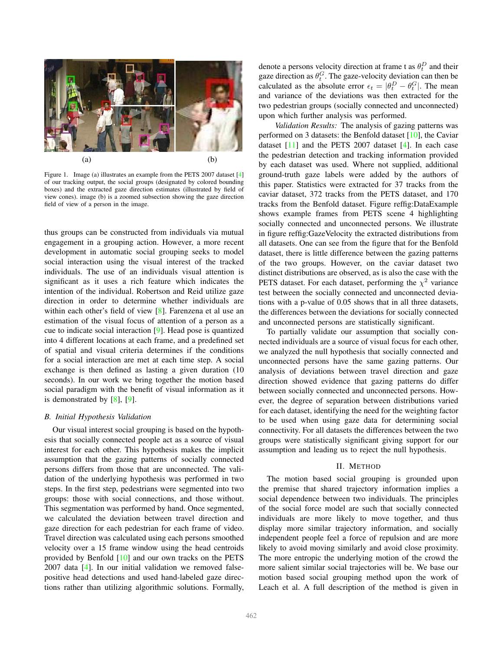<span id="page-1-1"></span>

Figure 1. Image (a) illustrates an example from the PETS 2007 dataset [\[4\]](#page-6-6) of our tracking output, the social groups (designated by colored bounding boxes) and the extracted gaze direction estimates (illustrated by field of view cones). image (b) is a zoomed subsection showing the gaze direction field of view of a person in the image.

thus groups can be constructed from individuals via mutual engagement in a grouping action. However, a more recent development in automatic social grouping seeks to model social interaction using the visual interest of the tracked individuals. The use of an individuals visual attention is significant as it uses a rich feature which indicates the intention of the individual. Robertson and Reid utilize gaze direction in order to determine whether individuals are within each other's field of view [\[8\]](#page-6-7). Farenzena et al use an estimation of the visual focus of attention of a person as a cue to indicate social interaction [\[9\]](#page-6-8). Head pose is quantized into 4 different locations at each frame, and a predefined set of spatial and visual criteria determines if the conditions for a social interaction are met at each time step. A social exchange is then defined as lasting a given duration (10 seconds). In our work we bring together the motion based social paradigm with the benefit of visual information as it is demonstrated by [\[8\]](#page-6-7), [\[9\]](#page-6-8).

#### *B. Initial Hypothesis Validation*

Our visual interest social grouping is based on the hypothesis that socially connected people act as a source of visual interest for each other. This hypothesis makes the implicit assumption that the gazing patterns of socially connected persons differs from those that are unconnected. The validation of the underlying hypothesis was performed in two steps. In the first step, pedestrians were segmented into two groups: those with social connections, and those without. This segmentation was performed by hand. Once segmented, we calculated the deviation between travel direction and gaze direction for each pedestrian for each frame of video. Travel direction was calculated using each persons smoothed velocity over a 15 frame window using the head centroids provided by Benfold [\[10\]](#page-6-9) and our own tracks on the PETS 2007 data [\[4\]](#page-6-6). In our initial validation we removed falsepositive head detections and used hand-labeled gaze directions rather than utilizing algorithmic solutions. Formally,

denote a persons velocity direction at frame t as  $\theta_t^D$  and their gaze direction as  $\theta_t^G$ . The gaze-velocity deviation can then be calculated as the absolute error  $\epsilon_t = |\theta_t^D - \theta_t^G|$ . The mean and variance of the deviations was then extracted for the two pedestrian groups (socially connected and unconnected) upon which further analysis was performed.

*Validation Results:* The analysis of gazing patterns was performed on 3 datasets: the Benfold dataset [\[10\]](#page-6-9), the Caviar dataset  $[11]$  and the PETS 2007 dataset  $[4]$ . In each case the pedestrian detection and tracking information provided by each dataset was used. Where not supplied, additional ground-truth gaze labels were added by the authors of this paper. Statistics were extracted for 37 tracks from the caviar dataset, 372 tracks from the PETS dataset, and 170 tracks from the Benfold dataset. Figure reffig:DataExample shows example frames from PETS scene 4 highlighting socially connected and unconnected persons. We illustrate in figure reffig:GazeVelocity the extracted distributions from all datasets. One can see from the figure that for the Benfold dataset, there is little difference between the gazing patterns of the two groups. However, on the caviar dataset two distinct distributions are observed, as is also the case with the PETS dataset. For each dataset, performing the  $\chi^2$  variance test between the socially connected and unconnected deviations with a p-value of 0.05 shows that in all three datasets, the differences between the deviations for socially connected and unconnected persons are statistically significant.

To partially validate our assumption that socially connected individuals are a source of visual focus for each other, we analyzed the null hypothesis that socially connected and unconnected persons have the same gazing patterns. Our analysis of deviations between travel direction and gaze direction showed evidence that gazing patterns do differ between socially connected and unconnected persons. However, the degree of separation between distributions varied for each dataset, identifying the need for the weighting factor to be used when using gaze data for determining social connectivity. For all datasets the differences between the two groups were statistically significant giving support for our assumption and leading us to reject the null hypothesis.

#### II. METHOD

<span id="page-1-0"></span>The motion based social grouping is grounded upon the premise that shared trajectory information implies a social dependence between two individuals. The principles of the social force model are such that socially connected individuals are more likely to move together, and thus display more similar trajectory information, and socially independent people feel a force of repulsion and are more likely to avoid moving similarly and avoid close proximity. The more entropic the underlying motion of the crowd the more salient similar social trajectories will be. We base our motion based social grouping method upon the work of Leach et al. A full description of the method is given in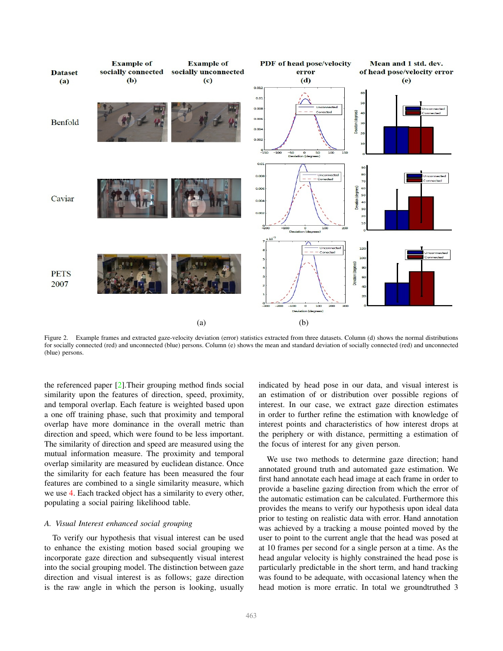<span id="page-2-1"></span>

<span id="page-2-0"></span>Figure 2. Example frames and extracted gaze-velocity deviation (error) statistics extracted from three datasets. Column (d) shows the normal distributions for socially connected (red) and unconnected (blue) persons. Column (e) shows the mean and standard deviation of socially connected (red) and unconnected (blue) persons.

the referenced paper [\[2\]](#page-6-1).Their grouping method finds social similarity upon the features of direction, speed, proximity, and temporal overlap. Each feature is weighted based upon a one off training phase, such that proximity and temporal overlap have more dominance in the overall metric than direction and speed, which were found to be less important. The similarity of direction and speed are measured using the mutual information measure. The proximity and temporal overlap similarity are measured by euclidean distance. Once the similarity for each feature has been measured the four features are combined to a single similarity measure, which we use [4.](#page-4-0) Each tracked object has a similarity to every other, populating a social pairing likelihood table.

## *A. Visual Interest enhanced social grouping*

To verify our hypothesis that visual interest can be used to enhance the existing motion based social grouping we incorporate gaze direction and subsequently visual interest into the social grouping model. The distinction between gaze direction and visual interest is as follows; gaze direction is the raw angle in which the person is looking, usually indicated by head pose in our data, and visual interest is an estimation of or distribution over possible regions of interest. In our case, we extract gaze direction estimates in order to further refine the estimation with knowledge of interest points and characteristics of how interest drops at the periphery or with distance, permitting a estimation of the focus of interest for any given person.

We use two methods to determine gaze direction; hand annotated ground truth and automated gaze estimation. We first hand annotate each head image at each frame in order to provide a baseline gazing direction from which the error of the automatic estimation can be calculated. Furthermore this provides the means to verify our hypothesis upon ideal data prior to testing on realistic data with error. Hand annotation was achieved by a tracking a mouse pointed moved by the user to point to the current angle that the head was posed at at 10 frames per second for a single person at a time. As the head angular velocity is highly constrained the head pose is particularly predictable in the short term, and hand tracking was found to be adequate, with occasional latency when the head motion is more erratic. In total we groundtruthed 3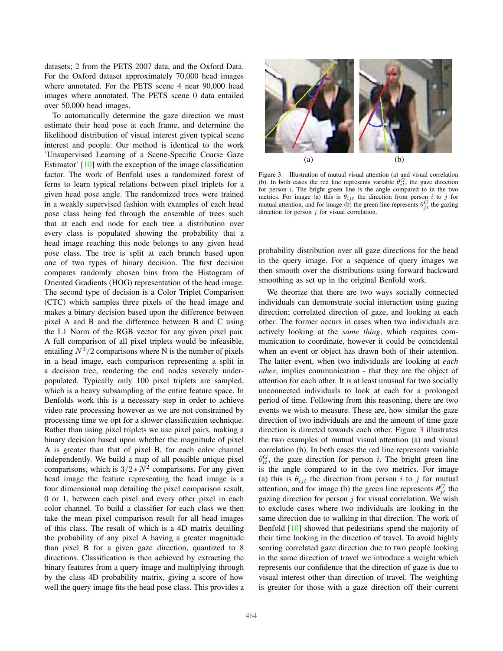<span id="page-3-1"></span>datasets; 2 from the PETS 2007 data, and the Oxford Data. For the Oxford dataset approximately 70,000 head images where annotated. For the PETS scene 4 near 90,000 head images where annotated. The PETS scene 0 data entailed over 50,000 head images.

To automatically determine the gaze direction we must estimate their head pose at each frame, and determine the likelihood distribution of visual interest given typical scene interest and people. Our method is identical to the work 'Unsupervised Learning of a Scene-Specific Coarse Gaze Estimator' [\[10\]](#page-6-9) with the exception of the image classification factor. The work of Benfold uses a randomized forest of ferns to learn typical relations between pixel triplets for a given head pose angle. The randomized trees were trained in a weakly supervised fashion with examples of each head pose class being fed through the ensemble of trees such that at each end node for each tree a distribution over every class is populated showing the probability that a head image reaching this node belongs to any given head pose class. The tree is split at each branch based upon one of two types of binary decision. The first decision compares randomly chosen bins from the Histogram of Oriented Gradients (HOG) representation of the head image. The second type of decision is a Color Triplet Comparison (CTC) which samples three pixels of the head image and makes a binary decision based upon the difference between pixel A and B and the difference between B and C using the L1 Norm of the RGB vector for any given pixel pair. A full comparison of all pixel triplets would be infeasible, entailing  $N^3/2$  comparisons where N is the number of pixels in a head image, each comparison representing a split in a decision tree, rendering the end nodes severely underpopulated. Typically only 100 pixel triplets are sampled, which is a heavy subsampling of the entire feature space. In Benfolds work this is a necessary step in order to achieve video rate processing however as we are not constrained by processing time we opt for a slower classification technique. Rather than using pixel triplets we use pixel pairs, making a binary decision based upon whether the magnitude of pixel A is greater than that of pixel B, for each color channel independently. We build a map of all possible unique pixel comparisons, which is  $3/2*N^2$  comparisons. For any given head image the feature representing the head image is a four dimensional map detailing the pixel comparison result, 0 or 1, between each pixel and every other pixel in each color channel. To build a classifier for each class we then take the mean pixel comparison result for all head images of this class. The result of which is a 4D matrix detailing the probability of any pixel A having a greater magnitude than pixel B for a given gaze direction, quantized to 8 directions. Classification is then achieved by extracting the binary features from a query image and multiplying through by the class 4D probability matrix, giving a score of how well the query image fits the head pose class. This provides a



Figure 3. Illustration of mutual visual attention (a) and visual correlation (b). In both cases the red line represents variable  $\theta_{it}^G$ , the gaze direction for person  $i$ . The bright green line is the angle compared to in the two metrics. For image (a) this is  $\theta_{ijt}$  the direction from person i to j for mutual attention, and for image (b) the green line represents  $\theta_{jt}^G$  the gazing direction for person  $j$  for visual correlation.

<span id="page-3-0"></span>probability distribution over all gaze directions for the head in the query image. For a sequence of query images we then smooth over the distributions using forward backward smoothing as set up in the original Benfold work.

We theorize that there are two ways socially connected individuals can demonstrate social interaction using gazing direction; correlated direction of gaze, and looking at each other. The former occurs in cases when two individuals are actively looking at the *same thing*, which requires communication to coordinate, however it could be coincidental when an event or object has drawn both of their attention. The latter event, when two individuals are looking at *each other*, implies communication - that they are the object of attention for each other. It is at least unusual for two socially unconnected individuals to look at each for a prolonged period of time. Following from this reasoning, there are two events we wish to measure. These are, how similar the gaze direction of two individuals are and the amount of time gaze direction is directed towards each other. Figure [3](#page-3-0) illustrates the two examples of mutual visual attention (a) and visual correlation (b). In both cases the red line represents variable  $\theta_{it}^G$ , the gaze direction for person *i*. The bright green line is the angle compared to in the two metrics. For image (a) this is  $\theta_{ijt}$  the direction from person i to j for mutual attention, and for image (b) the green line represents  $\theta_{jt}^G$  the gazing direction for person  $j$  for visual correlation. We wish to exclude cases where two individuals are looking in the same direction due to walking in that direction. The work of Benfold [\[10\]](#page-6-9) showed that pedestrians spend the majority of their time looking in the direction of travel. To avoid highly scoring correlated gaze direction due to two people looking in the same direction of travel we introduce a weight which represents our confidence that the direction of gaze is due to visual interest other than direction of travel. The weighting is greater for those with a gaze direction off their current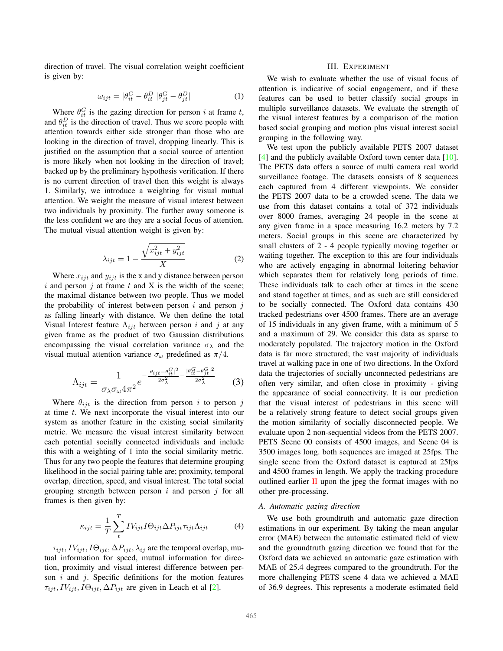<span id="page-4-1"></span>direction of travel. The visual correlation weight coefficient is given by:

$$
\omega_{ijt} = |\theta_{it}^G - \theta_{it}^D| |\theta_{jt}^G - \theta_{jt}^D|
$$
 (1)

Where  $\theta_{it}^G$  is the gazing direction for person *i* at frame *t*, and  $\theta_{it}^D$  is the direction of travel. Thus we score people with attention towards either side stronger than those who are looking in the direction of travel, dropping linearly. This is justified on the assumption that a social source of attention is more likely when not looking in the direction of travel; backed up by the preliminary hypothesis verification. If there is no current direction of travel then this weight is always 1. Similarly, we introduce a weighting for visual mutual attention. We weight the measure of visual interest between two individuals by proximity. The further away someone is the less confident we are they are a social focus of attention. The mutual visual attention weight is given by:

$$
\lambda_{ijt} = 1 - \frac{\sqrt{x_{ijt}^2 + y_{ijt}^2}}{X}
$$
 (2)

Where  $x_{ijt}$  and  $y_{ijt}$  is the x and y distance between person  $i$  and person  $j$  at frame  $t$  and  $X$  is the width of the scene; the maximal distance between two people. Thus we model the probability of interest between person  $i$  and person  $j$ as falling linearly with distance. We then define the total Visual Interest feature  $\Lambda_{ijt}$  between person i and j at any given frame as the product of two Gaussian distributions encompassing the visual correlation variance  $\sigma_{\lambda}$  and the visual mutual attention variance  $\sigma_{\omega}$  predefined as  $\pi/4$ .

$$
\Lambda_{ijt} = \frac{1}{\sigma_{\lambda}\sigma_{\omega}4\pi^2}e^{-\frac{|\theta_{ijt}-\theta_{it}^G|^2}{2\sigma_{\lambda}^2} - \frac{|\theta_{it}^G-\theta_{jt}^G|^2}{2\sigma_{\lambda}^2}}
$$
(3)

Where  $\theta_{ijt}$  is the direction from person i to person j at time t. We next incorporate the visual interest into our system as another feature in the existing social similarity metric. We measure the visual interest similarity between each potential socially connected individuals and include this with a weighting of 1 into the social similarity metric. Thus for any two people the features that determine grouping likelihood in the social pairing table are; proximity, temporal overlap, direction, speed, and visual interest. The total social grouping strength between person  $i$  and person  $j$  for all frames is then given by:

<span id="page-4-0"></span>
$$
\kappa_{ijt} = \frac{1}{T} \sum_{t}^{T} IV_{ijt} I \Theta_{ijt} \Delta P_{ijt} \tau_{ijt} \Lambda_{ijt}
$$
 (4)

 $\tau_{ijt}, IV_{ijt}, I\Theta_{ijt}, \Delta P_{ijt}, \lambda_{ij}$  are the temporal overlap, mutual information for speed, mutual information for direction, proximity and visual interest difference between person  $i$  and  $j$ . Specific definitions for the motion features  $\tau_{ijt}$ ,  $IV_{ijt}$ ,  $I\Theta_{ijt}$ ,  $\Delta P_{ijt}$  are given in Leach et al [\[2\]](#page-6-1).

## III. EXPERIMENT

We wish to evaluate whether the use of visual focus of attention is indicative of social engagement, and if these features can be used to better classify social groups in multiple surveillance datasets. We evaluate the strength of the visual interest features by a comparison of the motion based social grouping and motion plus visual interest social grouping in the following way.

We test upon the publicly available PETS 2007 dataset [\[4\]](#page-6-6) and the publicly available Oxford town center data [\[10\]](#page-6-9). The PETS data offers a source of multi camera real world surveillance footage. The datasets consists of 8 sequences each captured from 4 different viewpoints. We consider the PETS 2007 data to be a crowded scene. The data we use from this dataset contains a total of 372 individuals over 8000 frames, averaging 24 people in the scene at any given frame in a space measuring 16.2 meters by 7.2 meters. Social groups in this scene are characterized by small clusters of 2 - 4 people typically moving together or waiting together. The exception to this are four individuals who are actively engaging in abnormal loitering behavior which separates them for relatively long periods of time. These individuals talk to each other at times in the scene and stand together at times, and as such are still considered to be socially connected. The Oxford data contains 430 tracked pedestrians over 4500 frames. There are an average of 15 individuals in any given frame, with a minimum of 5 and a maximum of 29. We consider this data as sparse to moderately populated. The trajectory motion in the Oxford data is far more structured; the vast majority of individuals travel at walking pace in one of two directions. In the Oxford data the trajectories of socially unconnected pedestrians are often very similar, and often close in proximity - giving the appearance of social connectivity. It is our prediction that the visual interest of pedestrians in this scene will be a relatively strong feature to detect social groups given the motion similarity of socially disconnected people. We evaluate upon 2 non-sequential videos from the PETS 2007. PETS Scene 00 consists of 4500 images, and Scene 04 is 3500 images long. both sequences are imaged at 25fps. The single scene from the Oxford dataset is captured at 25fps and 4500 frames in length. We apply the tracking procedure outlined earlier  $\overline{II}$  $\overline{II}$  $\overline{II}$  upon the jpeg the format images with no other pre-processing.

# *A. Automatic gazing direction*

We use both groundtruth and automatic gaze direction estimations in our experiment. By taking the mean angular error (MAE) between the automatic estimated field of view and the groundtruth gazing direction we found that for the Oxford data we achieved an automatic gaze estimation with MAE of 25.4 degrees compared to the groundtruth. For the more challenging PETS scene 4 data we achieved a MAE of 36.9 degrees. This represents a moderate estimated field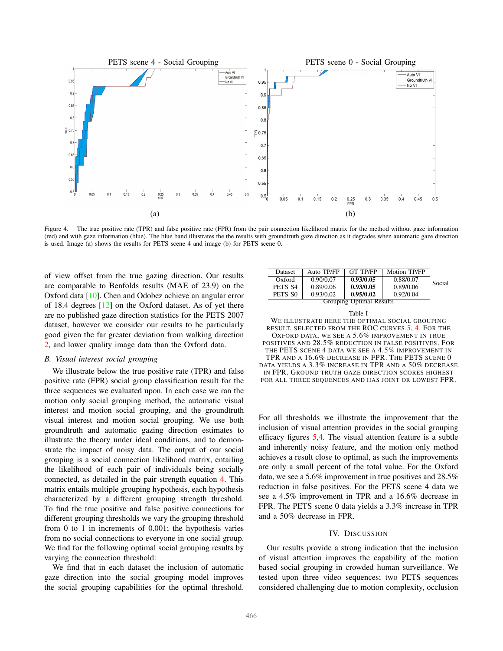<span id="page-5-1"></span>

<span id="page-5-0"></span>Figure 4. The true positive rate (TPR) and false positive rate (FPR) from the pair connection likelihood matrix for the method without gaze information (red) and with gaze information (blue). The blue band illustrates the the results with groundtruth gaze direction as it degrades when automatic gaze direction is used. Image (a) shows the results for PETS scene 4 and image (b) for PETS scene 0.

of view offset from the true gazing direction. Our results are comparable to Benfolds results (MAE of 23.9) on the Oxford data [\[10\]](#page-6-9). Chen and Odobez achieve an angular error of 18.4 degrees [\[12\]](#page-6-11) on the Oxford dataset. As of yet there are no published gaze direction statistics for the PETS 2007 dataset, however we consider our results to be particularly good given the far greater deviation from walking direction [2,](#page-2-0) and lower quality image data than the Oxford data.

#### *B. Visual interest social grouping*

We illustrate below the true positive rate (TPR) and false positive rate (FPR) social group classification result for the three sequences we evaluated upon. In each case we ran the motion only social grouping method, the automatic visual interest and motion social grouping, and the groundtruth visual interest and motion social grouping. We use both groundtruth and automatic gazing direction estimates to illustrate the theory under ideal conditions, and to demonstrate the impact of noisy data. The output of our social grouping is a social connection likelihood matrix, entailing the likelihood of each pair of individuals being socially connected, as detailed in the pair strength equation [4.](#page-4-0) This matrix entails multiple grouping hypothesis, each hypothesis characterized by a different grouping strength threshold. To find the true positive and false positive connections for different grouping thresholds we vary the grouping threshold from 0 to 1 in increments of 0.001; the hypothesis varies from no social connections to everyone in one social group. We find for the following optimal social grouping results by varying the connection threshold:

We find that in each dataset the inclusion of automatic gaze direction into the social grouping model improves the social grouping capabilities for the optimal threshold.

| <b>Dataset</b>           | Auto TP/FP | <b>GT TP/FP</b> | Motion TP/FP |        |
|--------------------------|------------|-----------------|--------------|--------|
| Oxford                   | 0.90/0.07  | 0.93/0.05       | 0.88/0.07    | Social |
| PETS S4                  | 0.89/0.06  | 0.93/0.05       | 0.89/0.06    |        |
| PETS SO                  | 0.93/0.02  | 0.95/0.02       | 0.92/0.04    |        |
| Grouping Optimal Results |            |                 |              |        |

| Table I                                               |  |
|-------------------------------------------------------|--|
| WE ILLUSTRATE HERE THE OPTIMAL SOCIAL GROUPING        |  |
| RESULT, SELECTED FROM THE ROC CURVES 5, 4. FOR THE    |  |
| OXFORD DATA, WE SEE A 5.6% IMPROVEMENT IN TRUE        |  |
| POSITIVES AND 28.5% REDUCTION IN FALSE POSITIVES. FOR |  |
| THE PETS SCENE 4 DATA WE SEE A 4.5% IMPROVEMENT IN    |  |
| TPR AND A 16.6% DECREASE IN FPR. THE PETS SCENE 0     |  |
| DATA YIELDS A 3.3% INCREASE IN TPR AND A 50% DECREASE |  |
| IN FPR. GROUND TRUTH GAZE DIRECTION SCORES HIGHEST    |  |

FOR ALL THREE SEQUENCES AND HAS JOINT OR LOWEST FPR.

For all thresholds we illustrate the improvement that the inclusion of visual attention provides in the social grouping efficacy figures [5,](#page-6-12)[4.](#page-5-0) The visual attention feature is a subtle and inherently noisy feature, and the motion only method achieves a result close to optimal, as such the improvements are only a small percent of the total value. For the Oxford data, we see a 5.6% improvement in true positives and 28.5% reduction in false positives. For the PETS scene 4 data we see a 4.5% improvement in TPR and a 16.6% decrease in FPR. The PETS scene 0 data yields a 3.3% increase in TPR and a 50% decrease in FPR.

# IV. DISCUSSION

Our results provide a strong indication that the inclusion of visual attention improves the capability of the motion based social grouping in crowded human surveillance. We tested upon three video sequences; two PETS sequences considered challenging due to motion complexity, occlusion